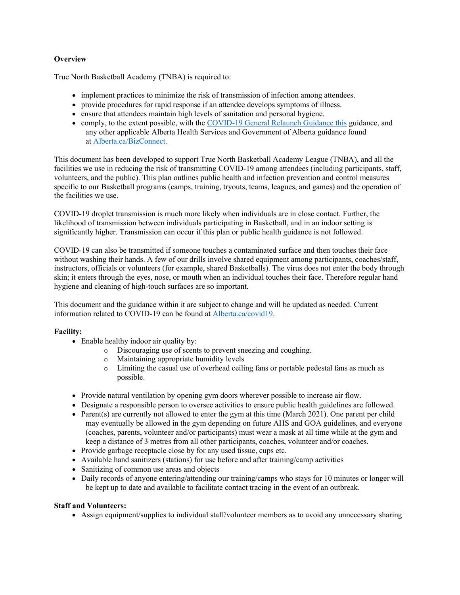# **Overview**

True North Basketball Academy (TNBA) is required to:

- implement practices to minimize the risk of transmission of infection among attendees.
- provide procedures for rapid response if an attendee develops symptoms of illness.
- ensure that attendees maintain high levels of sanitation and personal hygiene.
- comply, to the extent possible, with the COVID-19 General Relaunch Guidance this guidance, and any other applicable Alberta Health Services and Government of Alberta guidance found at Alberta.ca/BizConnect.

This document has been developed to support True North Basketball Academy League (TNBA), and all the facilities we use in reducing the risk of transmitting COVID-19 among attendees (including participants, staff, volunteers, and the public). This plan outlines public health and infection prevention and control measures specific to our Basketball programs (camps, training, tryouts, teams, leagues, and games) and the operation of the facilities we use.

COVID-19 droplet transmission is much more likely when individuals are in close contact. Further, the likelihood of transmission between individuals participating in Basketball, and in an indoor setting is significantly higher. Transmission can occur if this plan or public health guidance is not followed.

COVID-19 can also be transmitted if someone touches a contaminated surface and then touches their face without washing their hands. A few of our drills involve shared equipment among participants, coaches/staff, instructors, officials or volunteers (for example, shared Basketballs). The virus does not enter the body through skin; it enters through the eyes, nose, or mouth when an individual touches their face. Therefore regular hand hygiene and cleaning of high-touch surfaces are so important.

This document and the guidance within it are subject to change and will be updated as needed. Current information related to COVID-19 can be found at Alberta.ca/covid19.

# Facility:

- Enable healthy indoor air quality by:
	- o Discouraging use of scents to prevent sneezing and coughing.
	- o Maintaining appropriate humidity levels
	- o Limiting the casual use of overhead ceiling fans or portable pedestal fans as much as possible.
- Provide natural ventilation by opening gym doors wherever possible to increase air flow.
- Designate a responsible person to oversee activities to ensure public health guidelines are followed.
- Parent(s) are currently not allowed to enter the gym at this time (March 2021). One parent per child may eventually be allowed in the gym depending on future AHS and GOA guidelines, and everyone (coaches, parents, volunteer and/or participants) must wear a mask at all time while at the gym and keep a distance of 3 metres from all other participants, coaches, volunteer and/or coaches.
- Provide garbage receptacle close by for any used tissue, cups etc.
- Available hand sanitizers (stations) for use before and after training/camp activities
- Sanitizing of common use areas and objects
- Daily records of anyone entering/attending our training/camps who stays for 10 minutes or longer will be kept up to date and available to facilitate contact tracing in the event of an outbreak.

#### Staff and Volunteers:

Assign equipment/supplies to individual staff/volunteer members as to avoid any unnecessary sharing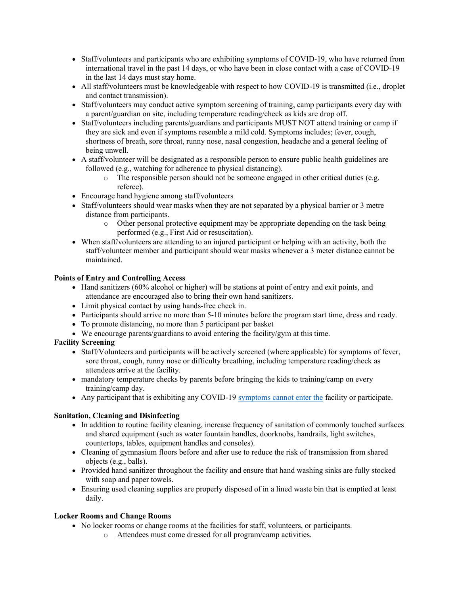- Staff/volunteers and participants who are exhibiting symptoms of COVID-19, who have returned from international travel in the past 14 days, or who have been in close contact with a case of COVID-19 in the last 14 days must stay home.
- All staff/volunteers must be knowledgeable with respect to how COVID-19 is transmitted (i.e., droplet and contact transmission).
- Staff/volunteers may conduct active symptom screening of training, camp participants every day with a parent/guardian on site, including temperature reading/check as kids are drop off.
- Staff/volunteers including parents/guardians and participants MUST NOT attend training or camp if they are sick and even if symptoms resemble a mild cold. Symptoms includes; fever, cough, shortness of breath, sore throat, runny nose, nasal congestion, headache and a general feeling of being unwell.
- A staff/volunteer will be designated as a responsible person to ensure public health guidelines are followed (e.g., watching for adherence to physical distancing).
	- o The responsible person should not be someone engaged in other critical duties (e.g. referee).
- Encourage hand hygiene among staff/volunteers
- Staff/volunteers should wear masks when they are not separated by a physical barrier or 3 metre distance from participants.
	- o Other personal protective equipment may be appropriate depending on the task being performed (e.g., First Aid or resuscitation).
- When staff/volunteers are attending to an injured participant or helping with an activity, both the staff/volunteer member and participant should wear masks whenever a 3 meter distance cannot be maintained.

# Points of Entry and Controlling Access

- Hand sanitizers (60% alcohol or higher) will be stations at point of entry and exit points, and attendance are encouraged also to bring their own hand sanitizers.
- Limit physical contact by using hands-free check in.
- Participants should arrive no more than 5-10 minutes before the program start time, dress and ready.
- To promote distancing, no more than 5 participant per basket
- We encourage parents/guardians to avoid entering the facility/gym at this time.

# Facility Screening

- Staff/Volunteers and participants will be actively screened (where applicable) for symptoms of fever, sore throat, cough, runny nose or difficulty breathing, including temperature reading/check as attendees arrive at the facility.
- mandatory temperature checks by parents before bringing the kids to training/camp on every training/camp day.
- Any participant that is exhibiting any COVID-19 symptoms cannot enter the facility or participate.

# Sanitation, Cleaning and Disinfecting

- In addition to routine facility cleaning, increase frequency of sanitation of commonly touched surfaces and shared equipment (such as water fountain handles, doorknobs, handrails, light switches, countertops, tables, equipment handles and consoles).
- Cleaning of gymnasium floors before and after use to reduce the risk of transmission from shared objects (e.g., balls).
- Provided hand sanitizer throughout the facility and ensure that hand washing sinks are fully stocked with soap and paper towels.
- Ensuring used cleaning supplies are properly disposed of in a lined waste bin that is emptied at least daily.

# Locker Rooms and Change Rooms

- No locker rooms or change rooms at the facilities for staff, volunteers, or participants.
	- o Attendees must come dressed for all program/camp activities.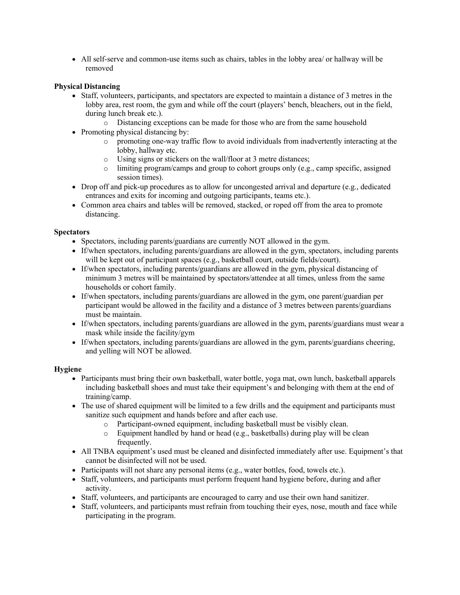All self-serve and common-use items such as chairs, tables in the lobby area/ or hallway will be removed

# Physical Distancing

- Staff, volunteers, participants, and spectators are expected to maintain a distance of 3 metres in the lobby area, rest room, the gym and while off the court (players' bench, bleachers, out in the field, during lunch break etc.).
	- o Distancing exceptions can be made for those who are from the same household
- Promoting physical distancing by:
	- o promoting one-way traffic flow to avoid individuals from inadvertently interacting at the lobby, hallway etc.
	- o Using signs or stickers on the wall/floor at 3 metre distances;
	- $\circ$  limiting program/camps and group to cohort groups only (e.g., camp specific, assigned session times).
- $\bullet$  Drop off and pick-up procedures as to allow for uncongested arrival and departure (e.g., dedicated entrances and exits for incoming and outgoing participants, teams etc.).
- Common area chairs and tables will be removed, stacked, or roped off from the area to promote distancing.

# **Spectators**

- Spectators, including parents/guardians are currently NOT allowed in the gym.
- If/when spectators, including parents/guardians are allowed in the gym, spectators, including parents will be kept out of participant spaces (e.g., basketball court, outside fields/court).
- If/when spectators, including parents/guardians are allowed in the gym, physical distancing of minimum 3 metres will be maintained by spectators/attendee at all times, unless from the same households or cohort family.
- If/when spectators, including parents/guardians are allowed in the gym, one parent/guardian per participant would be allowed in the facility and a distance of 3 metres between parents/guardians must be maintain.
- If/when spectators, including parents/guardians are allowed in the gym, parents/guardians must wear a mask while inside the facility/gym
- If/when spectators, including parents/guardians are allowed in the gym, parents/guardians cheering, and yelling will NOT be allowed.

#### Hygiene

- Participants must bring their own basketball, water bottle, yoga mat, own lunch, basketball apparels including basketball shoes and must take their equipment's and belonging with them at the end of training/camp.
- The use of shared equipment will be limited to a few drills and the equipment and participants must sanitize such equipment and hands before and after each use.
	- o Participant-owned equipment, including basketball must be visibly clean.
	- o Equipment handled by hand or head (e.g., basketballs) during play will be clean frequently.
- All TNBA equipment's used must be cleaned and disinfected immediately after use. Equipment's that cannot be disinfected will not be used.
- Participants will not share any personal items (e.g., water bottles, food, towels etc.).
- Staff, volunteers, and participants must perform frequent hand hygiene before, during and after activity.
- Staff, volunteers, and participants are encouraged to carry and use their own hand sanitizer.
- Staff, volunteers, and participants must refrain from touching their eyes, nose, mouth and face while participating in the program.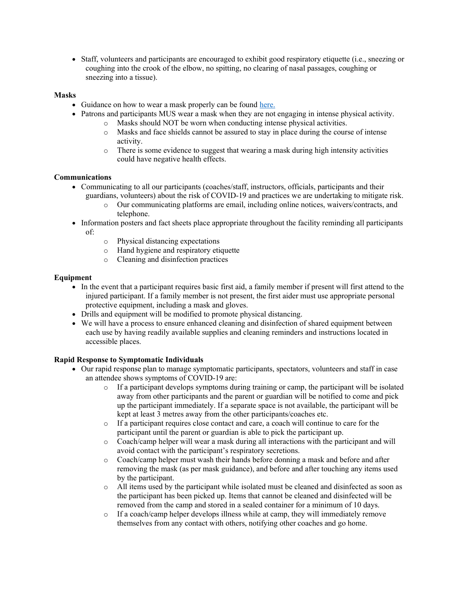Staff, volunteers and participants are encouraged to exhibit good respiratory etiquette (i.e., sneezing or coughing into the crook of the elbow, no spitting, no clearing of nasal passages, coughing or sneezing into a tissue).

## Masks

- Guidance on how to wear a mask properly can be found here.
- Patrons and participants MUS wear a mask when they are not engaging in intense physical activity.
	- o Masks should NOT be worn when conducting intense physical activities.
	- o Masks and face shields cannot be assured to stay in place during the course of intense activity.
	- $\circ$  There is some evidence to suggest that wearing a mask during high intensity activities could have negative health effects.

## Communications

- Communicating to all our participants (coaches/staff, instructors, officials, participants and their guardians, volunteers) about the risk of COVID-19 and practices we are undertaking to mitigate risk.
	- o Our communicating platforms are email, including online notices, waivers/contracts, and telephone.
- Information posters and fact sheets place appropriate throughout the facility reminding all participants of:
	- o Physical distancing expectations
	- o Hand hygiene and respiratory etiquette
	- o Cleaning and disinfection practices

## Equipment

- In the event that a participant requires basic first aid, a family member if present will first attend to the injured participant. If a family member is not present, the first aider must use appropriate personal protective equipment, including a mask and gloves.
- Drills and equipment will be modified to promote physical distancing.
- We will have a process to ensure enhanced cleaning and disinfection of shared equipment between each use by having readily available supplies and cleaning reminders and instructions located in accessible places.

#### Rapid Response to Symptomatic Individuals

- Our rapid response plan to manage symptomatic participants, spectators, volunteers and staff in case an attendee shows symptoms of COVID-19 are:
	- o If a participant develops symptoms during training or camp, the participant will be isolated away from other participants and the parent or guardian will be notified to come and pick up the participant immediately. If a separate space is not available, the participant will be kept at least 3 metres away from the other participants/coaches etc.
	- o If a participant requires close contact and care, a coach will continue to care for the participant until the parent or guardian is able to pick the participant up.
	- o Coach/camp helper will wear a mask during all interactions with the participant and will avoid contact with the participant's respiratory secretions.
	- o Coach/camp helper must wash their hands before donning a mask and before and after removing the mask (as per mask guidance), and before and after touching any items used by the participant.
	- o All items used by the participant while isolated must be cleaned and disinfected as soon as the participant has been picked up. Items that cannot be cleaned and disinfected will be removed from the camp and stored in a sealed container for a minimum of 10 days.
	- $\circ$  If a coach/camp helper develops illness while at camp, they will immediately remove themselves from any contact with others, notifying other coaches and go home.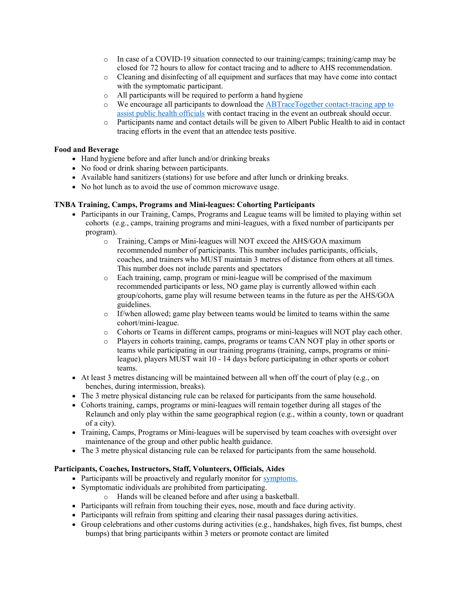- $\circ$  In case of a COVID-19 situation connected to our training/camps; training/camp may be closed for 72 hours to allow for contact tracing and to adhere to AHS recommendation.
- o Cleaning and disinfecting of all equipment and surfaces that may have come into contact with the symptomatic participant.
- o All participants will be required to perform a hand hygiene
- o We encourage all participants to download the ABTraceTogether contact-tracing app to assist public health officials with contact tracing in the event an outbreak should occur.
- o Participants name and contact details will be given to Albert Public Health to aid in contact tracing efforts in the event that an attendee tests positive.

## Food and Beverage

- Hand hygiene before and after lunch and/or drinking breaks
- No food or drink sharing between participants.
- Available hand sanitizers (stations) for use before and after lunch or drinking breaks.
- No hot lunch as to avoid the use of common microwave usage.

## TNBA Training, Camps, Programs and Mini-leagues: Cohorting Participants

- Participants in our Training, Camps, Programs and League teams will be limited to playing within set cohorts (e.g., camps, training programs and mini-leagues, with a fixed number of participants per program).
	- o Training, Camps or Mini-leagues will NOT exceed the AHS/GOA maximum recommended number of participants. This number includes participants, officials, coaches, and trainers who MUST maintain 3 metres of distance from others at all times. This number does not include parents and spectators
	- o Each training, camp, program or mini-league will be comprised of the maximum recommended participants or less, NO game play is currently allowed within each group/cohorts, game play will resume between teams in the future as per the AHS/GOA guidelines.
	- $\circ$  If/when allowed; game play between teams would be limited to teams within the same cohort/mini-league.
	- o Cohorts or Teams in different camps, programs or mini-leagues will NOT play each other.
	- o Players in cohorts training, camps, programs or teams CAN NOT play in other sports or teams while participating in our training programs (training, camps, programs or minileague), players MUST wait 10 - 14 days before participating in other sports or cohort teams.
- $\bullet$  At least 3 metres distancing will be maintained between all when off the court of play (e.g., on benches, during intermission, breaks).
- The 3 metre physical distancing rule can be relaxed for participants from the same household.
- Cohorts training, camps, programs or mini-leagues will remain together during all stages of the Relaunch and only play within the same geographical region (e.g., within a county, town or quadrant of a city).
- Training, Camps, Programs or Mini-leagues will be supervised by team coaches with oversight over maintenance of the group and other public health guidance.
- The 3 metre physical distancing rule can be relaxed for participants from the same household.

# Participants, Coaches, Instructors, Staff, Volunteers, Officials, Aides

- Participants will be proactively and regularly monitor for symptoms.
- Symptomatic individuals are prohibited from participating.
	- o Hands will be cleaned before and after using a basketball.
- Participants will refrain from touching their eyes, nose, mouth and face during activity.
- Participants will refrain from spitting and clearing their nasal passages during activities.
- Group celebrations and other customs during activities (e.g., handshakes, high fives, fist bumps, chest bumps) that bring participants within 3 meters or promote contact are limited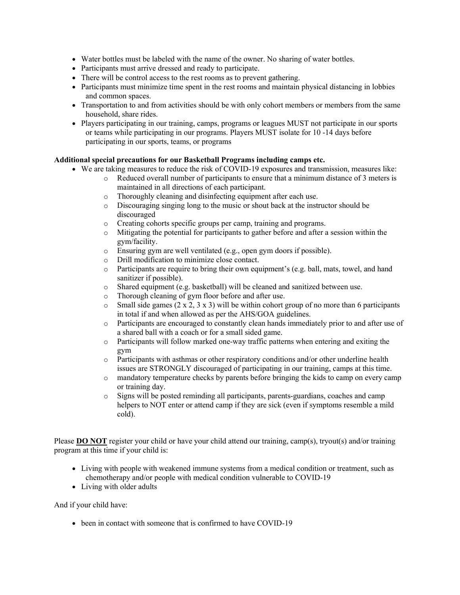- Water bottles must be labeled with the name of the owner. No sharing of water bottles.
- Participants must arrive dressed and ready to participate.
- There will be control access to the rest rooms as to prevent gathering.
- Participants must minimize time spent in the rest rooms and maintain physical distancing in lobbies and common spaces.
- Transportation to and from activities should be with only cohort members or members from the same household, share rides.
- Players participating in our training, camps, programs or leagues MUST not participate in our sports or teams while participating in our programs. Players MUST isolate for 10 -14 days before participating in our sports, teams, or programs

## Additional special precautions for our Basketball Programs including camps etc.

- We are taking measures to reduce the risk of COVID-19 exposures and transmission, measures like:
	- o Reduced overall number of participants to ensure that a minimum distance of 3 meters is maintained in all directions of each participant.
		- o Thoroughly cleaning and disinfecting equipment after each use.
		- o Discouraging singing long to the music or shout back at the instructor should be discouraged
		- o Creating cohorts specific groups per camp, training and programs.
		- o Mitigating the potential for participants to gather before and after a session within the gym/facility.
		- o Ensuring gym are well ventilated (e.g., open gym doors if possible).
		- o Drill modification to minimize close contact.
		- o Participants are require to bring their own equipment's (e.g. ball, mats, towel, and hand sanitizer if possible).
		- o Shared equipment (e.g. basketball) will be cleaned and sanitized between use.
		- o Thorough cleaning of gym floor before and after use.
		- $\circ$  Small side games (2 x 2, 3 x 3) will be within cohort group of no more than 6 participants in total if and when allowed as per the AHS/GOA guidelines.
		- o Participants are encouraged to constantly clean hands immediately prior to and after use of a shared ball with a coach or for a small sided game.
		- $\circ$  Participants will follow marked one-way traffic patterns when entering and exiting the gym
		- o Participants with asthmas or other respiratory conditions and/or other underline health issues are STRONGLY discouraged of participating in our training, camps at this time.
		- o mandatory temperature checks by parents before bringing the kids to camp on every camp or training day.
		- o Signs will be posted reminding all participants, parents-guardians, coaches and camp helpers to NOT enter or attend camp if they are sick (even if symptoms resemble a mild cold).

Please **DO NOT** register your child or have your child attend our training, camp(s), tryout(s) and/or training program at this time if your child is:

- Living with people with weakened immune systems from a medical condition or treatment, such as chemotherapy and/or people with medical condition vulnerable to COVID-19
- Living with older adults

And if your child have:

• been in contact with someone that is confirmed to have COVID-19